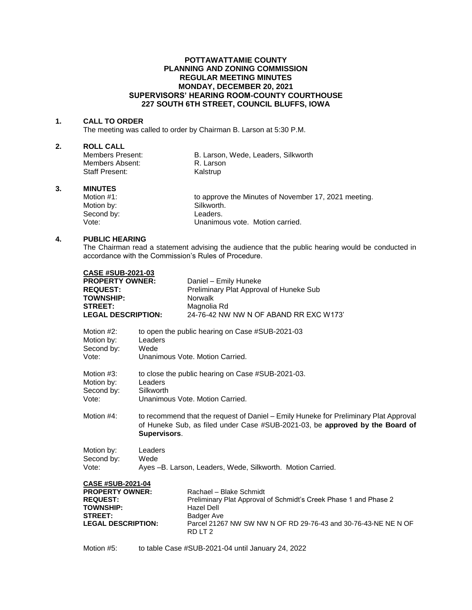## **POTTAWATTAMIE COUNTY PLANNING AND ZONING COMMISSION REGULAR MEETING MINUTES MONDAY, DECEMBER 20, 2021 SUPERVISORS' HEARING ROOM-COUNTY COURTHOUSE 227 SOUTH 6TH STREET, COUNCIL BLUFFS, IOWA**

### **1. CALL TO ORDER**

The meeting was called to order by Chairman B. Larson at 5:30 P.M.

#### **2. ROLL CALL**

| Members Present: | B. Larson, Wede, Leaders, Silkworth |
|------------------|-------------------------------------|
| Members Absent:  | R. Larson                           |
| Staff Present:   | Kalstrup                            |

## **3. MINUTES**

| Motion #1: | to approve the Minutes of November 17, 2021 meeting. |
|------------|------------------------------------------------------|
| Motion by: | Silkworth.                                           |
| Second by: | Leaders.                                             |
| Vote:      | Unanimous vote. Motion carried.                      |

## **4. PUBLIC HEARING**

The Chairman read a statement advising the audience that the public hearing would be conducted in accordance with the Commission's Rules of Procedure.

| <b>CASE #SUB-2021-03</b><br><b>PROPERTY OWNER:</b><br><b>REQUEST:</b><br><b>TOWNSHIP:</b><br><b>STREET:</b><br><b>LEGAL DESCRIPTION:</b> |                                                                                                                                                                                      | Daniel - Emily Huneke<br>Preliminary Plat Approval of Huneke Sub<br>Norwalk<br>Magnolia Rd<br>24-76-42 NW NW N OF ABAND RR EXC W173'                                                                                  |  |
|------------------------------------------------------------------------------------------------------------------------------------------|--------------------------------------------------------------------------------------------------------------------------------------------------------------------------------------|-----------------------------------------------------------------------------------------------------------------------------------------------------------------------------------------------------------------------|--|
| Motion #2:<br>Motion by:<br>Second by:<br>Vote:                                                                                          | to open the public hearing on Case #SUB-2021-03<br>Leaders<br>Wede<br>Unanimous Vote, Motion Carried.                                                                                |                                                                                                                                                                                                                       |  |
| Motion #3:<br>Motion by:<br>Second by:<br>Vote:                                                                                          | to close the public hearing on Case #SUB-2021-03.<br>Leaders<br>Silkworth<br>Unanimous Vote, Motion Carried.                                                                         |                                                                                                                                                                                                                       |  |
| Motion #4:                                                                                                                               | to recommend that the request of Daniel – Emily Huneke for Preliminary Plat Approval<br>of Huneke Sub, as filed under Case #SUB-2021-03, be approved by the Board of<br>Supervisors. |                                                                                                                                                                                                                       |  |
| Motion by:<br>Second by:<br>Vote:                                                                                                        | Leaders<br>Wede                                                                                                                                                                      | Ayes -B. Larson, Leaders, Wede, Silkworth. Motion Carried.                                                                                                                                                            |  |
| <b>CASE #SUB-2021-04</b><br><b>PROPERTY OWNER:</b><br><b>REQUEST:</b><br><b>TOWNSHIP:</b><br><b>STREET:</b><br><b>LEGAL DESCRIPTION:</b> |                                                                                                                                                                                      | Rachael - Blake Schmidt<br>Preliminary Plat Approval of Schmidt's Creek Phase 1 and Phase 2<br><b>Hazel Dell</b><br>Badger Ave<br>Parcel 21267 NW SW NW N OF RD 29-76-43 and 30-76-43-NE NE N OF<br>RDLT <sub>2</sub> |  |
|                                                                                                                                          |                                                                                                                                                                                      |                                                                                                                                                                                                                       |  |

Motion #5: to table Case #SUB-2021-04 until January 24, 2022